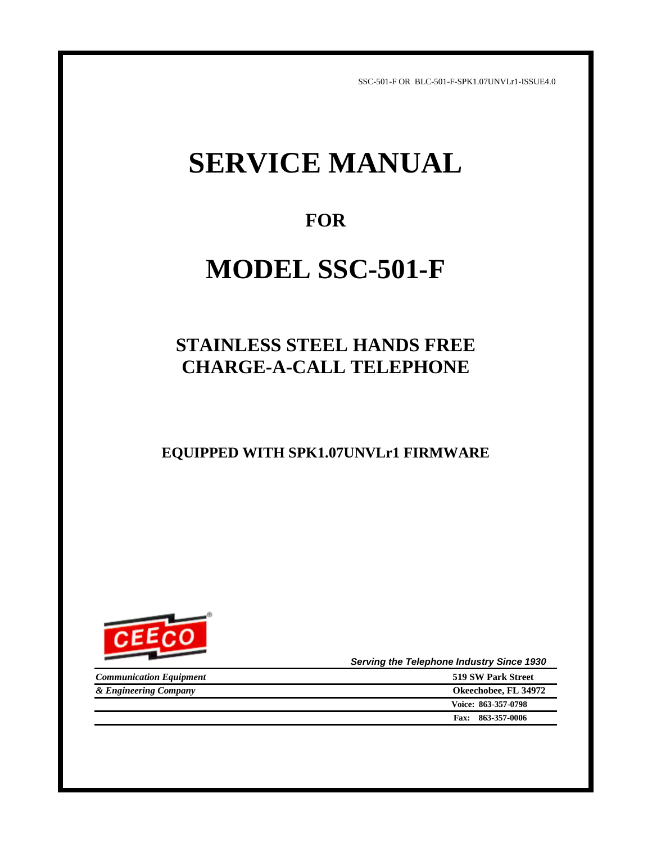SSC-501-F OR BLC-501-F-SPK1.07UNVLr1-ISSUE4.0

# **SERVICE MANUAL**

## **FOR**

# **MODEL SSC-501-F**

## **STAINLESS STEEL HANDS FREE CHARGE-A-CALL TELEPHONE**

**EQUIPPED WITH SPK1.07UNVLr1 FIRMWARE**



 *Serving the Telephone Industry Since 1930*

| <b>Communication Equipment</b> | 519 SW Park Street   |
|--------------------------------|----------------------|
| & Engineering Company          | Okeechobee, FL 34972 |
|                                | Voice: 863-357-0798  |
|                                | Fax: 863-357-0006    |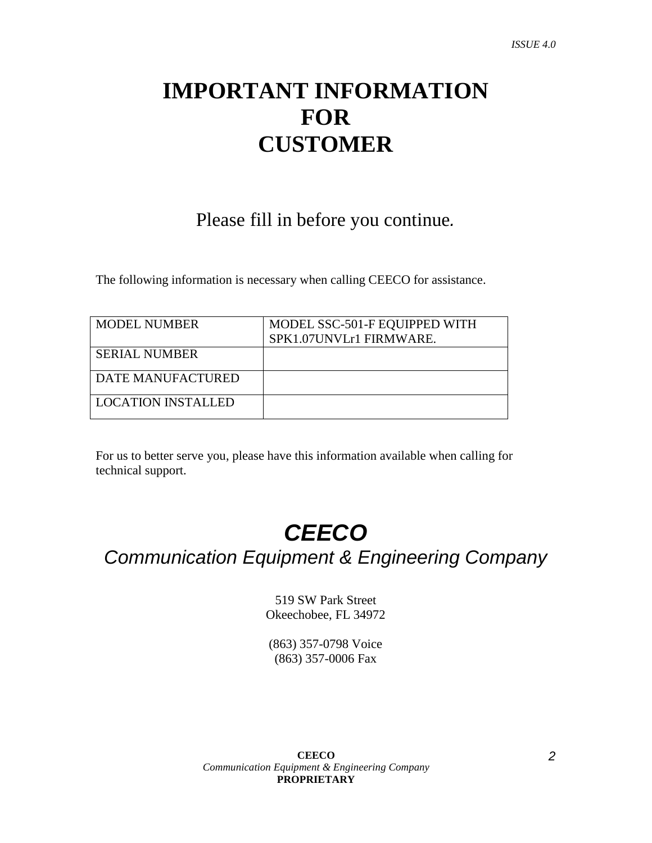# **IMPORTANT INFORMATION FOR CUSTOMER**

Please fill in before you continue*.*

The following information is necessary when calling CEECO for assistance.

| <b>MODEL NUMBER</b>  | MODEL SSC-501-F EQUIPPED WITH |
|----------------------|-------------------------------|
|                      | SPK1.07UNVLr1 FIRMWARE.       |
| <b>SERIAL NUMBER</b> |                               |
|                      |                               |
| DATE MANUFACTURED    |                               |
| LOCATION INSTALLED   |                               |

For us to better serve you, please have this information available when calling for technical support.

# *CEECO*

*Communication Equipment & Engineering Company*

519 SW Park Street Okeechobee, FL 34972

(863) 357-0798 Voice (863) 357-0006 Fax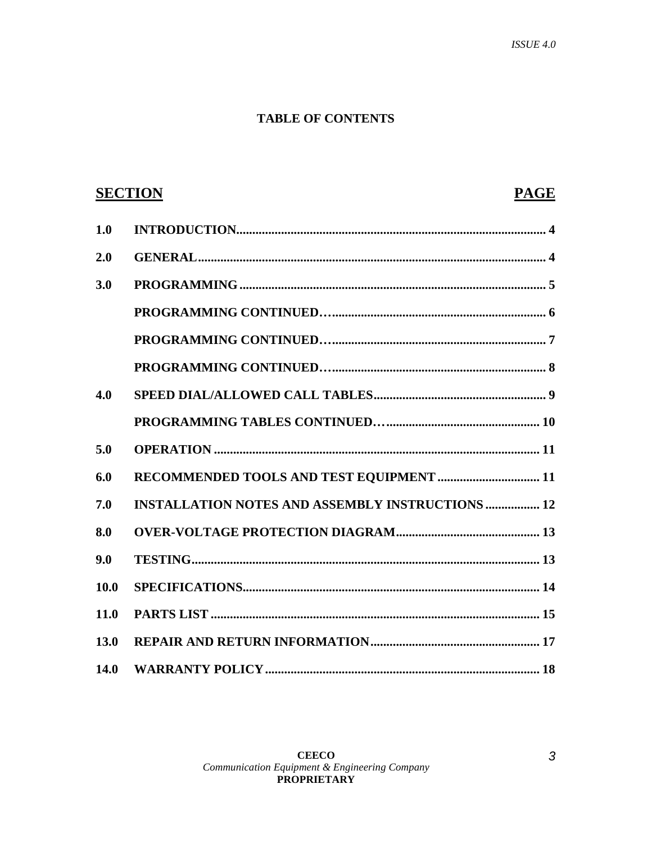## **TABLE OF CONTENTS**

|             | <b>SECTION</b><br><b>PAGE</b>                           |
|-------------|---------------------------------------------------------|
| 1.0         |                                                         |
| 2.0         |                                                         |
| 3.0         |                                                         |
|             |                                                         |
|             |                                                         |
|             |                                                         |
| 4.0         |                                                         |
|             |                                                         |
| 5.0         |                                                         |
| 6.0         |                                                         |
| 7.0         | <b>INSTALLATION NOTES AND ASSEMBLY INSTRUCTIONS  12</b> |
| 8.0         |                                                         |
| 9.0         |                                                         |
| 10.0        |                                                         |
| 11.0        |                                                         |
| 13.0        |                                                         |
| <b>14.0</b> |                                                         |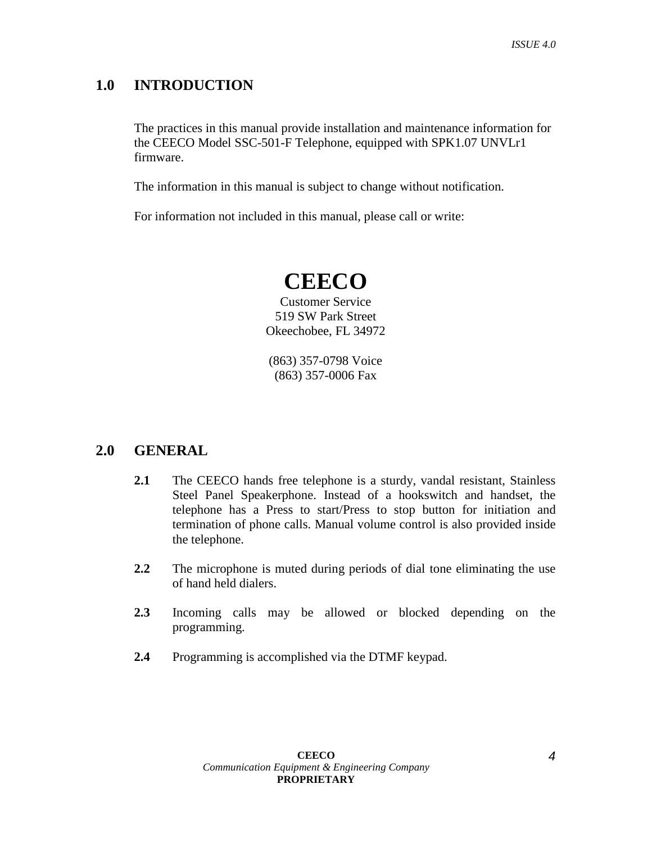## **1.0 INTRODUCTION**

The practices in this manual provide installation and maintenance information for the CEECO Model SSC-501-F Telephone, equipped with SPK1.07 UNVLr1 firmware.

The information in this manual is subject to change without notification.

For information not included in this manual, please call or write:

## **CEECO**

Customer Service 519 SW Park Street Okeechobee, FL 34972

(863) 357-0798 Voice (863) 357-0006 Fax

## **2.0 GENERAL**

- **2.1** The CEECO hands free telephone is a sturdy, vandal resistant, Stainless Steel Panel Speakerphone. Instead of a hookswitch and handset, the telephone has a Press to start/Press to stop button for initiation and termination of phone calls. Manual volume control is also provided inside the telephone.
- **2.2** The microphone is muted during periods of dial tone eliminating the use of hand held dialers.
- **2.3** Incoming calls may be allowed or blocked depending on the programming.
- **2.4** Programming is accomplished via the DTMF keypad.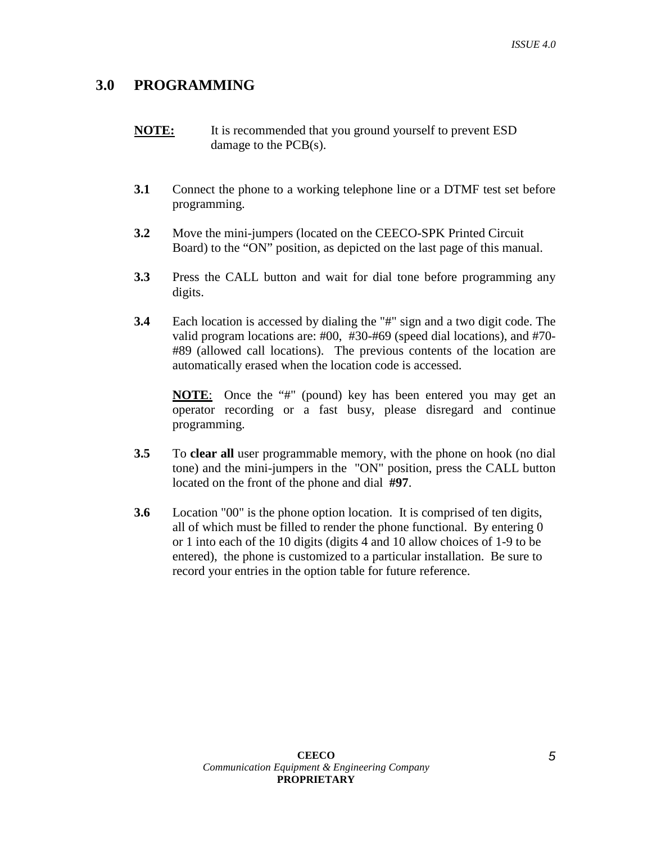## **3.0 PROGRAMMING**

- **NOTE:** It is recommended that you ground yourself to prevent ESD damage to the PCB(s).
- **3.1** Connect the phone to a working telephone line or a DTMF test set before programming.
- **3.2** Move the mini-jumpers (located on the CEECO-SPK Printed Circuit Board) to the "ON" position, as depicted on the last page of this manual.
- **3.3** Press the CALL button and wait for dial tone before programming any digits.
- **3.4** Each location is accessed by dialing the "#" sign and a two digit code. The valid program locations are: #00, #30-#69 (speed dial locations), and #70- #89 (allowed call locations). The previous contents of the location are automatically erased when the location code is accessed.

**NOTE**: Once the "#" (pound) key has been entered you may get an operator recording or a fast busy, please disregard and continue programming.

- **3.5** To **clear all** user programmable memory, with the phone on hook (no dial tone) and the mini-jumpers in the "ON" position, press the CALL button located on the front of the phone and dial **#97**.
- **3.6** Location "00" is the phone option location. It is comprised of ten digits, all of which must be filled to render the phone functional. By entering 0 or 1 into each of the 10 digits (digits 4 and 10 allow choices of 1-9 to be entered), the phone is customized to a particular installation. Be sure to record your entries in the option table for future reference.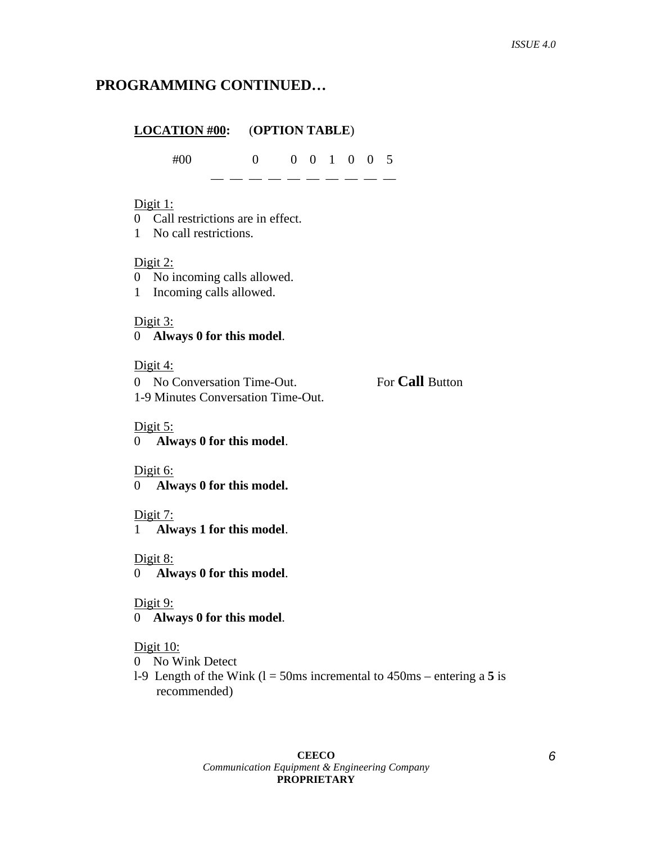## **PROGRAMMING CONTINUED…**

## **LOCATION #00:** (**OPTION TABLE**) #00 0 0 0 1 0 0 5  $-$ Digit  $1$ : 0 Call restrictions are in effect.

1 No call restrictions.

#### Digit 2:

- 0 No incoming calls allowed.
- 1 Incoming calls allowed.

#### Digit 3:

## 0 **Always 0 for this model**.

#### Digit 4:

| 0 No Conversation Time-Out.        | For <b>Call</b> Button |
|------------------------------------|------------------------|
| 1-9 Minutes Conversation Time-Out. |                        |

#### Digit 5:

0 **Always 0 for this model**.

#### Digit 6:

0 **Always 0 for this model.**

#### Digit 7:

1 **Always 1 for this model**.

#### Digit 8:

0 **Always 0 for this model**.

#### Digit 9:

0 **Always 0 for this model**.

#### Digit 10:

- 0 No Wink Detect
- l-9 Length of the Wink (l = 50ms incremental to 450ms entering a **5** is recommended)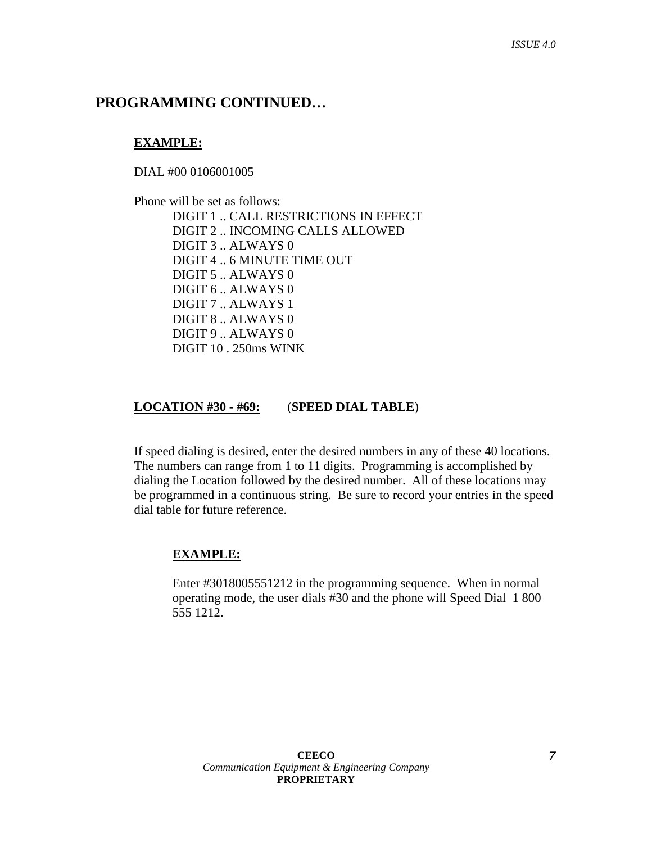## **PROGRAMMING CONTINUED…**

#### **EXAMPLE:**

DIAL #00 0106001005

 Phone will be set as follows: DIGIT 1 .. CALL RESTRICTIONS IN EFFECT DIGIT 2 .. INCOMING CALLS ALLOWED DIGIT 3 .. ALWAYS 0 DIGIT 4 .. 6 MINUTE TIME OUT DIGIT 5 .. ALWAYS 0 DIGIT 6 .. ALWAYS 0 DIGIT 7 .. ALWAYS 1 DIGIT 8 .. ALWAYS 0 DIGIT 9 .. ALWAYS 0 DIGIT 10 . 250ms WINK

#### **LOCATION #30 - #69:** (**SPEED DIAL TABLE**)

If speed dialing is desired, enter the desired numbers in any of these 40 locations. The numbers can range from 1 to 11 digits. Programming is accomplished by dialing the Location followed by the desired number. All of these locations may be programmed in a continuous string. Be sure to record your entries in the speed dial table for future reference.

#### **EXAMPLE:**

Enter #3018005551212 in the programming sequence. When in normal operating mode, the user dials #30 and the phone will Speed Dial 1 800 555 1212.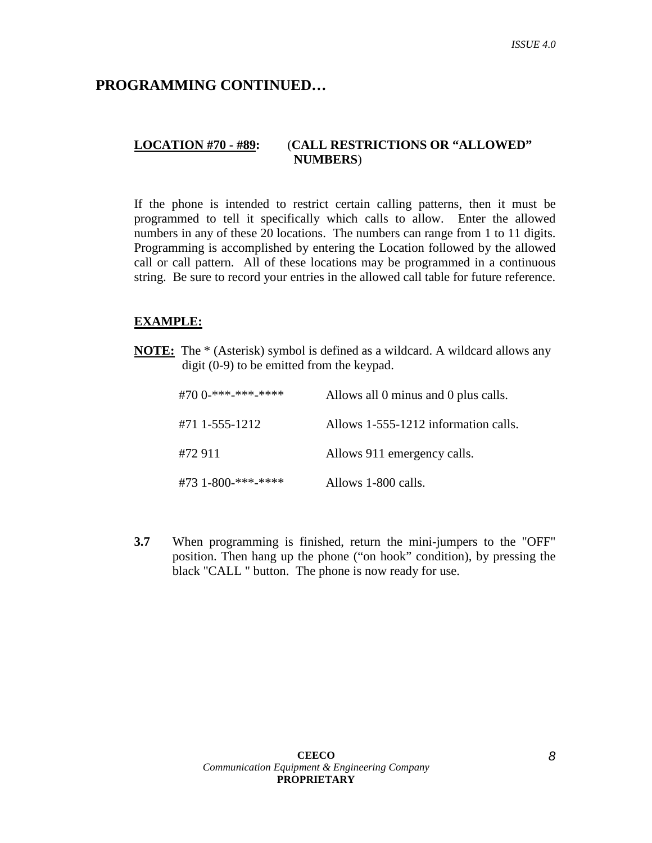## **PROGRAMMING CONTINUED…**

## **LOCATION #70 - #89:** (**CALL RESTRICTIONS OR "ALLOWED" NUMBERS**)

If the phone is intended to restrict certain calling patterns, then it must be programmed to tell it specifically which calls to allow. Enter the allowed numbers in any of these 20 locations. The numbers can range from 1 to 11 digits. Programming is accomplished by entering the Location followed by the allowed call or call pattern. All of these locations may be programmed in a continuous string. Be sure to record your entries in the allowed call table for future reference.

#### **EXAMPLE:**

**NOTE:** The \* (Asterisk) symbol is defined as a wildcard. A wildcard allows any digit (0-9) to be emitted from the keypad.

| #70 0-***-***-***** | Allows all 0 minus and 0 plus calls. |
|---------------------|--------------------------------------|
| #71 1-555-1212      | Allows 1-555-1212 information calls. |
| #72 911             | Allows 911 emergency calls.          |
| #73 1-800-***-***** | Allows 1-800 calls.                  |

**3.7** When programming is finished, return the mini-jumpers to the "OFF" position. Then hang up the phone ("on hook" condition), by pressing the black "CALL " button. The phone is now ready for use.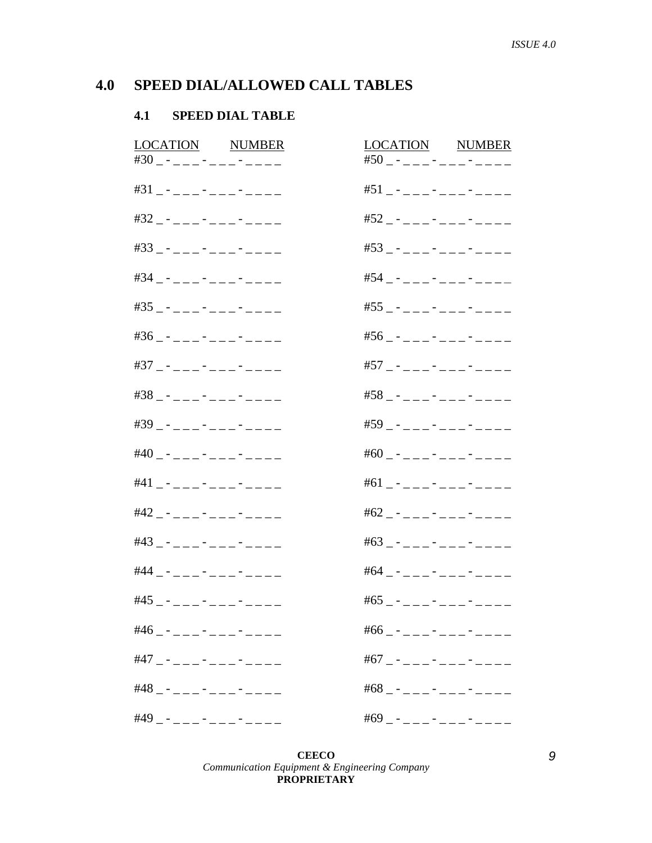#### SPEED DIAL/ALLOWED CALL TABLES  $4.0$

#### **SPEED DIAL TABLE**  $4.1$

| <b>LOCATION NUMBER</b><br>#30 _ - _ _ _ - _ _ _ - _ _ _ _ | LOCATION NUMBER<br>#50 _ - _ _ _ - _ _ _ - _ _ _ _ |
|-----------------------------------------------------------|----------------------------------------------------|
| $#31 - - - - - - - - - - - - -$                           | $#51 - - - - - - - - - - - - -$                    |
| #32 _ - _ _ _ - _ _ _ - _ _ _ _                           | $#52 - - - - - - - - - - - - -$                    |
| $#33$ _ - _ _ _ - _ _ - _ - _ _ _ _                       | $#53$ - - - - - - - - - - - - - -                  |
| #34 _ - _ _ _ - _ _ _ - _ _ _ _                           | #54 _ - _ _ _ - _ _ _ - _ - _ _ _                  |
| #35 _ - _ _ _ - _ _ _ - _ _ _ _                           | #55 _ - _ _ _ - _ _ _ - _ - _ _ _                  |
| $#36 - - - - - - - - - - - - -$                           | $#56 - - - - - - - - - - - -$                      |
| #37 _ - _ _ _ - _ _ _ - _ _ - _ _                         | #57 _ - _ _ _ - _ _ _ - _ - _ _ _                  |
| #38 _ - _ _ _ - _ _ _ - _ _ - _ _                         | #58 _ - _ _ _ - _ _ _ - _ _ - _ _                  |
| #39 _ - _ _ _ - _ _ - _ - _ - _ _ _                       | #59 _ - _ _ _ - _ _ - _ - _ _ _                    |
| #40 _ - _ _ _ - _ _ _ - _ _ _ _                           | #60 _ - _ _ _ - _ _ - _ - _ - _ _ _                |
| $#41 - - - - - - - - - - - - -$                           | $#61$ - - - - - - - - - - - - - -                  |
| #42 _ - _ _ _ - _ _ _ - _ _ _ _                           | $#62 - - - - - - - - - - - - -$                    |
| #43 _ - _ _ _ - _ _ - _ - _ - _ _ _                       | #63 _ - _ _ _ - _ _ - _ - _ - _ _ _                |
| #44 _ - _ _ _ - _ - _ - _ - _ _ _                         | #64 _ - _ _ _ - _ _ - _ - _ - _ _                  |
| #45 _ - _ _ _ - _ _ _ - _ _ _ _                           | #65 _ - _ _ _ - _ _ - _ - _ - _ _ _                |
| #46 _ - _ _ _ - _ _ _ - _ _ _ _ _                         | #66 _ - _ _ _ - _ _ - _ - _ - _ _ _                |
| #47 _ - _ _ _ - _ _ _ - _ - _ _ _                         | #67 _ - _ _ _ - _ _ - _ - _ _ _                    |
| $#48 - - - - - - - - - - - - - -$                         | $#68$ - - - - - - - - - - - - - -                  |
| $#49 - - - - - - - - - - - - - -$                         | #69 _ - _ _ _ - _ _ - _ - _ - _ _ _                |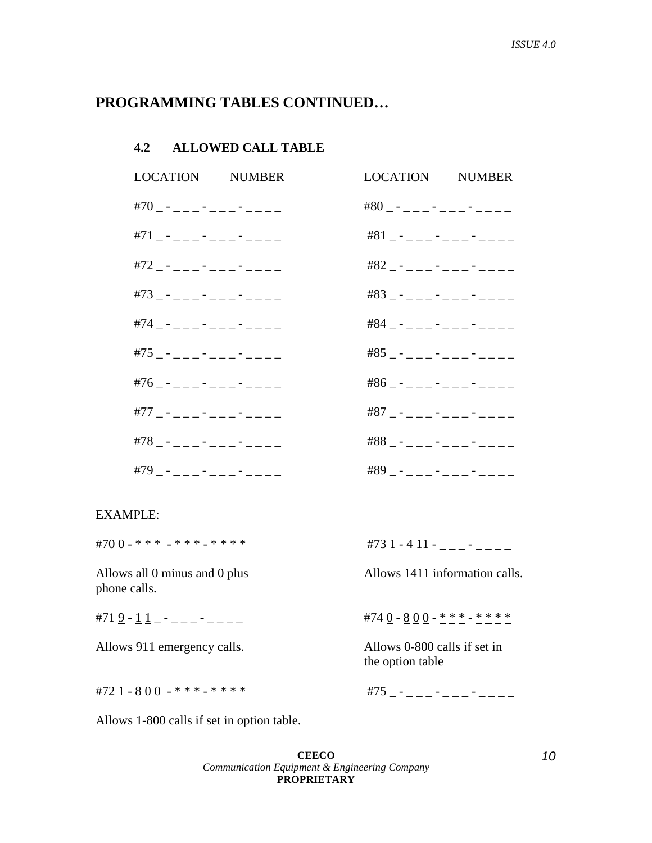## **PROGRAMMING TABLES CONTINUED…**

### **4.2 ALLOWED CALL TABLE**

| LOCATION NUMBER                     | LOCATION NUMBER                       |
|-------------------------------------|---------------------------------------|
| #70 _ - _ _ _ - _ _ - _ - _ - _ _ _ | $#80$ - - - - - - - - - - - - - -     |
| $#71 - - - - - - - - - - - - -$     | $#81 - - - - - - - - - - - - -$       |
| #72 _ - _ _ _ - _ _ _ - _ _ _ _     | $#82 - - - - - - - - - - - - -$       |
| #73 _ - _ _ _ - _ _ _ - _ _ _ _     | $#83 - - - - - - - - - - - - -$       |
| #74 _ - _ _ _ - _ _ _ - _ _ _ _     | $#84 - - - - - - - - - - - - -$       |
| #75 _ - _ _ _ - _ _ _ - _ _ - _ _ _ | $#85$ _ - _ _ _ - _ _ _ - _ _ - _ _ _ |
| #76 _ - _ _ _ - _ _ - _ - _ - _ _   | $#86 - - - - - - - - - - - - -$       |
| #77 _ - _ _ _ - _ _ _ - _ - _ _ _   | $#87 - - - - - - - - - - - - -$       |
| #78 _ - _ _ _ - _ _ - _ - _ - _ _ _ | $#88 - - - - - - - - - - - - -$       |
| #79 _ - _ _ _ - _ _ - _ - _ - _ _ _ | $#89 - - - - - - - - - - - - -$       |

#### EXAMPLE:

| #700-***-***-****                             | #73 1 - 4 11 - _ _ _ - _ _ _ _  |
|-----------------------------------------------|---------------------------------|
| Allows all 0 minus and 0 plus<br>phone calls. | Allows 1411 information calls.  |
| #71 $9 - 11 - - - - - - - - -$                | #74 0 - 8 0 0 - * * * - * * * * |

Allows 911 emergency calls. Allows 0-800 calls if set in the option table

#72 1 - 8 0 0 - \* \* \* - \* \* \* \* #75 \_ - \_ \_ \_ - \_ \_ \_ - \_ \_ \_ \_

Allows 1-800 calls if set in option table.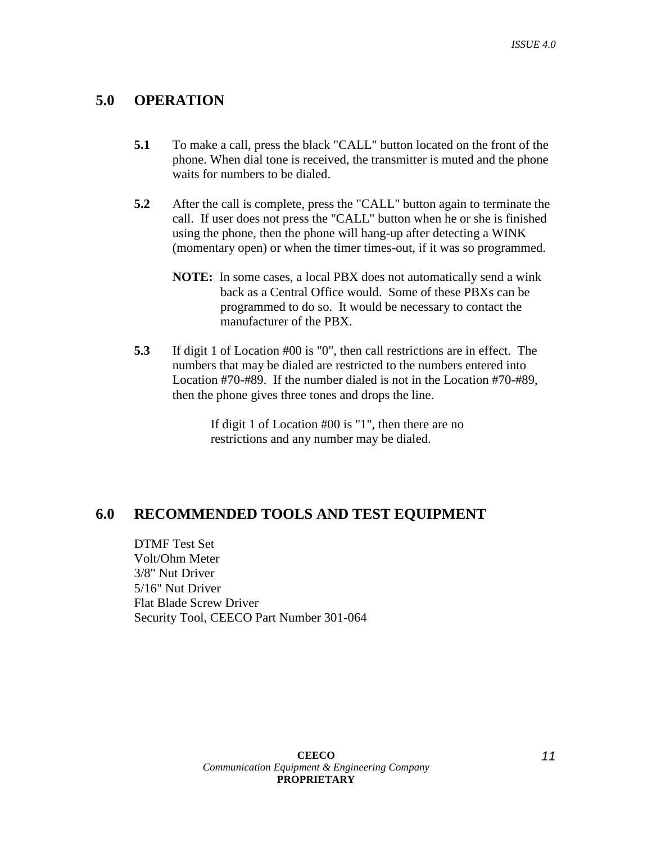## **5.0 OPERATION**

- **5.1** To make a call, press the black "CALL" button located on the front of the phone. When dial tone is received, the transmitter is muted and the phone waits for numbers to be dialed.
- **5.2** After the call is complete, press the "CALL" button again to terminate the call. If user does not press the "CALL" button when he or she is finished using the phone, then the phone will hang-up after detecting a WINK (momentary open) or when the timer times-out, if it was so programmed.
	- **NOTE:** In some cases, a local PBX does not automatically send a wink back as a Central Office would. Some of these PBXs can be programmed to do so. It would be necessary to contact the manufacturer of the PBX.
- **5.3** If digit 1 of Location #00 is "0", then call restrictions are in effect. The numbers that may be dialed are restricted to the numbers entered into Location #70-#89. If the number dialed is not in the Location #70-#89, then the phone gives three tones and drops the line.

If digit 1 of Location #00 is "1", then there are no restrictions and any number may be dialed.

## **6.0 RECOMMENDED TOOLS AND TEST EQUIPMENT**

 DTMF Test Set Volt/Ohm Meter 3/8" Nut Driver 5/16" Nut Driver Flat Blade Screw Driver Security Tool, CEECO Part Number 301-064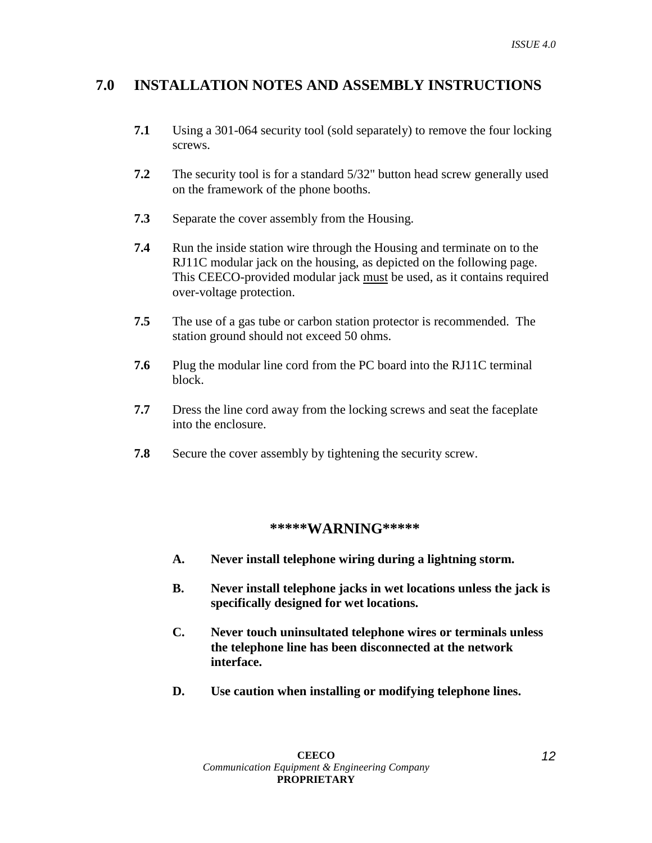## **7.0 INSTALLATION NOTES AND ASSEMBLY INSTRUCTIONS**

- **7.1** Using a 301-064 security tool (sold separately) to remove the four locking screws.
- **7.2** The security tool is for a standard 5/32" button head screw generally used on the framework of the phone booths.
- **7.3** Separate the cover assembly from the Housing.
- **7.4** Run the inside station wire through the Housing and terminate on to the RJ11C modular jack on the housing, as depicted on the following page. This CEECO-provided modular jack must be used, as it contains required over-voltage protection.
- **7.5** The use of a gas tube or carbon station protector is recommended. The station ground should not exceed 50 ohms.
- **7.6** Plug the modular line cord from the PC board into the RJ11C terminal block.
- **7.7** Dress the line cord away from the locking screws and seat the faceplate into the enclosure.
- **7.8** Secure the cover assembly by tightening the security screw.

## **\*\*\*\*\*WARNING\*\*\*\*\***

- **A. Never install telephone wiring during a lightning storm.**
- **B. Never install telephone jacks in wet locations unless the jack is specifically designed for wet locations.**
- **C. Never touch uninsultated telephone wires or terminals unless the telephone line has been disconnected at the network interface.**
- **D. Use caution when installing or modifying telephone lines.**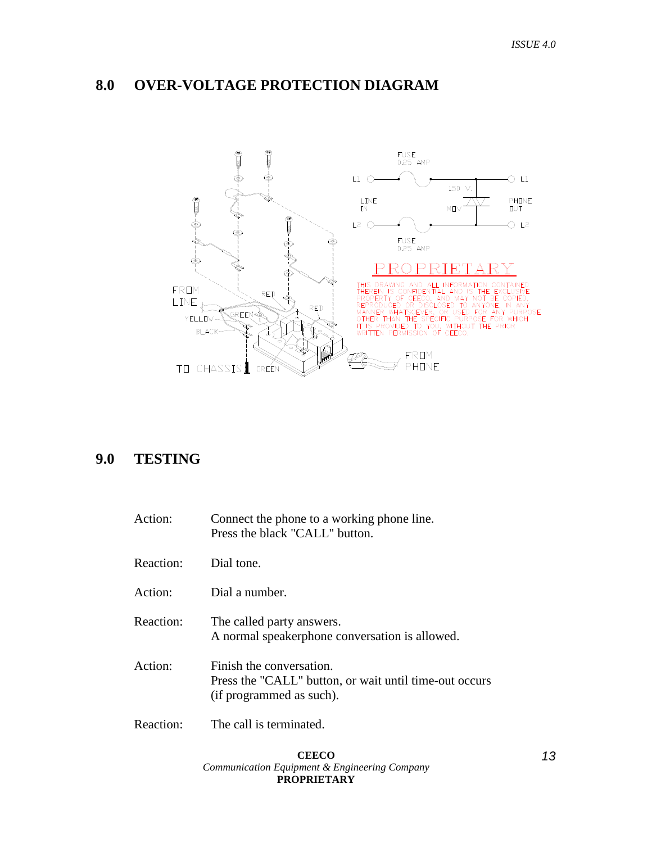## **8.0 OVER-VOLTAGE PROTECTION DIAGRAM**



## **9.0 TESTING**

| Action:   | Connect the phone to a working phone line.<br>Press the black "CALL" button.                                   |
|-----------|----------------------------------------------------------------------------------------------------------------|
| Reaction: | Dial tone                                                                                                      |
| Action:   | Dial a number.                                                                                                 |
| Reaction: | The called party answers.<br>A normal speakerphone conversation is allowed.                                    |
| Action:   | Finish the conversation.<br>Press the "CALL" button, or wait until time-out occurs<br>(if programmed as such). |
| Reaction: | The call is terminated.                                                                                        |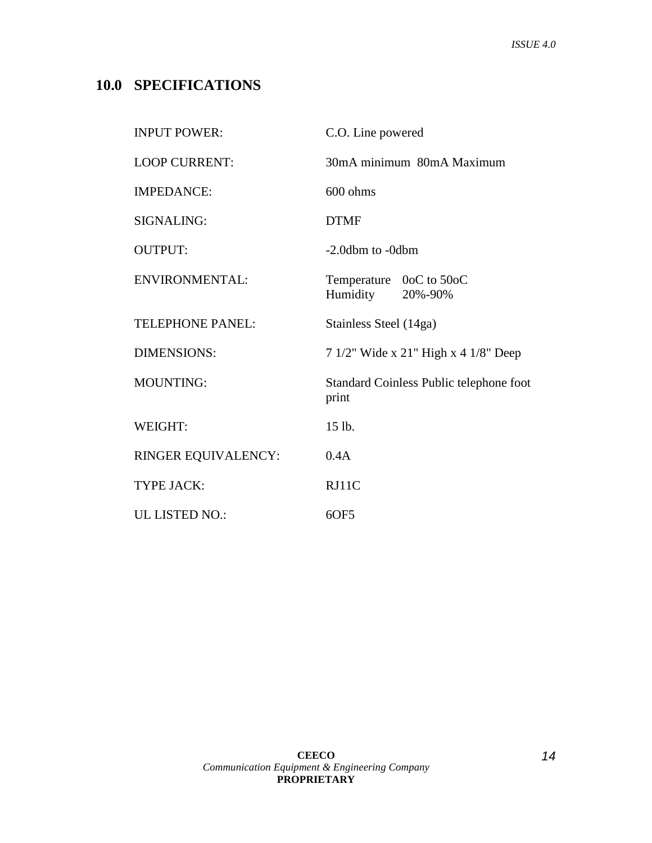## **10.0 SPECIFICATIONS**

| <b>INPUT POWER:</b>     | C.O. Line powered                                |  |  |
|-------------------------|--------------------------------------------------|--|--|
| <b>LOOP CURRENT:</b>    | 30mA minimum 80mA Maximum                        |  |  |
| <b>IMPEDANCE:</b>       | $600 \text{ ohms}$                               |  |  |
| SIGNALING:              | <b>DTMF</b>                                      |  |  |
| <b>OUTPUT:</b>          | -2.0dbm to -0dbm                                 |  |  |
| ENVIRONMENTAL:          | Temperature 0oC to 50oC<br>Humidity 20%-90%      |  |  |
| <b>TELEPHONE PANEL:</b> | Stainless Steel (14ga)                           |  |  |
| <b>DIMENSIONS:</b>      | 7 1/2" Wide x 21" High x 4 1/8" Deep             |  |  |
| <b>MOUNTING:</b>        | Standard Coinless Public telephone foot<br>print |  |  |
| WEIGHT:                 | 15 lb.                                           |  |  |
| RINGER EQUIVALENCY:     | 0.4A                                             |  |  |
| <b>TYPE JACK:</b>       | RJ11C                                            |  |  |
| UL LISTED NO.:          | 6OF5                                             |  |  |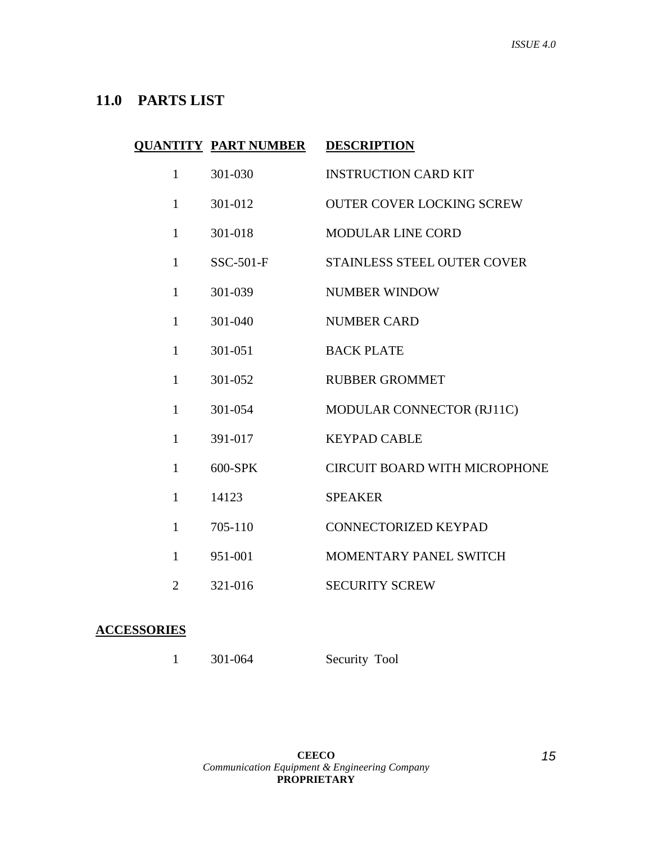## **11.0 PARTS LIST**

|              | <b>QUANTITY PART NUMBER</b> | <b>DESCRIPTION</b>                   |
|--------------|-----------------------------|--------------------------------------|
| $\mathbf{1}$ | 301-030                     | <b>INSTRUCTION CARD KIT</b>          |
| $\mathbf{1}$ | 301-012                     | <b>OUTER COVER LOCKING SCREW</b>     |
| $\mathbf{1}$ | 301-018                     | <b>MODULAR LINE CORD</b>             |
| $\mathbf{1}$ | $SSC-501-F$                 | STAINLESS STEEL OUTER COVER          |
| $\mathbf{1}$ | 301-039                     | <b>NUMBER WINDOW</b>                 |
| $\mathbf{1}$ | 301-040                     | <b>NUMBER CARD</b>                   |
| $\mathbf{1}$ | 301-051                     | <b>BACK PLATE</b>                    |
| $\mathbf{1}$ | 301-052                     | <b>RUBBER GROMMET</b>                |
| 1            | 301-054                     | MODULAR CONNECTOR (RJ11C)            |
| $\mathbf{1}$ | 391-017                     | <b>KEYPAD CABLE</b>                  |
| $\mathbf{1}$ | 600-SPK                     | <b>CIRCUIT BOARD WITH MICROPHONE</b> |
| $\mathbf{1}$ | 14123                       | <b>SPEAKER</b>                       |
| $\mathbf{1}$ | 705-110                     | <b>CONNECTORIZED KEYPAD</b>          |
| $\mathbf{1}$ | 951-001                     | MOMENTARY PANEL SWITCH               |
| 2            | 321-016                     | <b>SECURITY SCREW</b>                |

## **ACCESSORIES**

|  | 301-064 | Security Tool |
|--|---------|---------------|
|--|---------|---------------|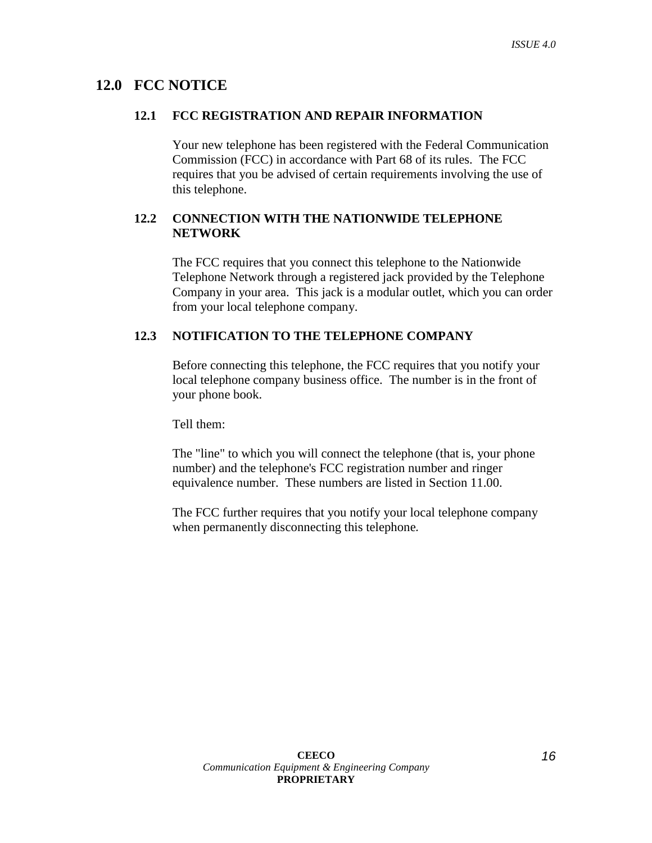## **12.0 FCC NOTICE**

#### **12.1 FCC REGISTRATION AND REPAIR INFORMATION**

Your new telephone has been registered with the Federal Communication Commission (FCC) in accordance with Part 68 of its rules. The FCC requires that you be advised of certain requirements involving the use of this telephone.

## **12.2 CONNECTION WITH THE NATIONWIDE TELEPHONE NETWORK**

The FCC requires that you connect this telephone to the Nationwide Telephone Network through a registered jack provided by the Telephone Company in your area. This jack is a modular outlet, which you can order from your local telephone company.

## **12.3 NOTIFICATION TO THE TELEPHONE COMPANY**

Before connecting this telephone, the FCC requires that you notify your local telephone company business office. The number is in the front of your phone book.

Tell them:

The "line" to which you will connect the telephone (that is, your phone number) and the telephone's FCC registration number and ringer equivalence number. These numbers are listed in Section 11.00.

The FCC further requires that you notify your local telephone company when permanently disconnecting this telephone*.*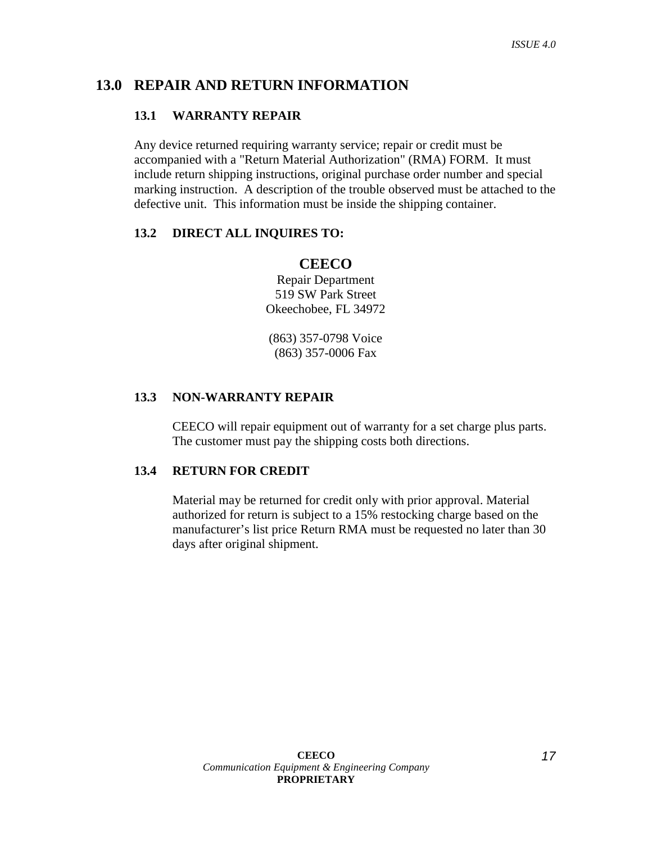## **13.0 REPAIR AND RETURN INFORMATION**

#### **13.1 WARRANTY REPAIR**

Any device returned requiring warranty service; repair or credit must be accompanied with a "Return Material Authorization" (RMA) FORM. It must include return shipping instructions, original purchase order number and special marking instruction. A description of the trouble observed must be attached to the defective unit. This information must be inside the shipping container.

#### **13.2 DIRECT ALL INQUIRES TO:**

## **CEECO**

Repair Department 519 SW Park Street Okeechobee, FL 34972

(863) 357-0798 Voice (863) 357-0006 Fax

#### **13.3 NON-WARRANTY REPAIR**

CEECO will repair equipment out of warranty for a set charge plus parts. The customer must pay the shipping costs both directions.

## **13.4 RETURN FOR CREDIT**

Material may be returned for credit only with prior approval. Material authorized for return is subject to a 15% restocking charge based on the manufacturer's list price Return RMA must be requested no later than 30 days after original shipment.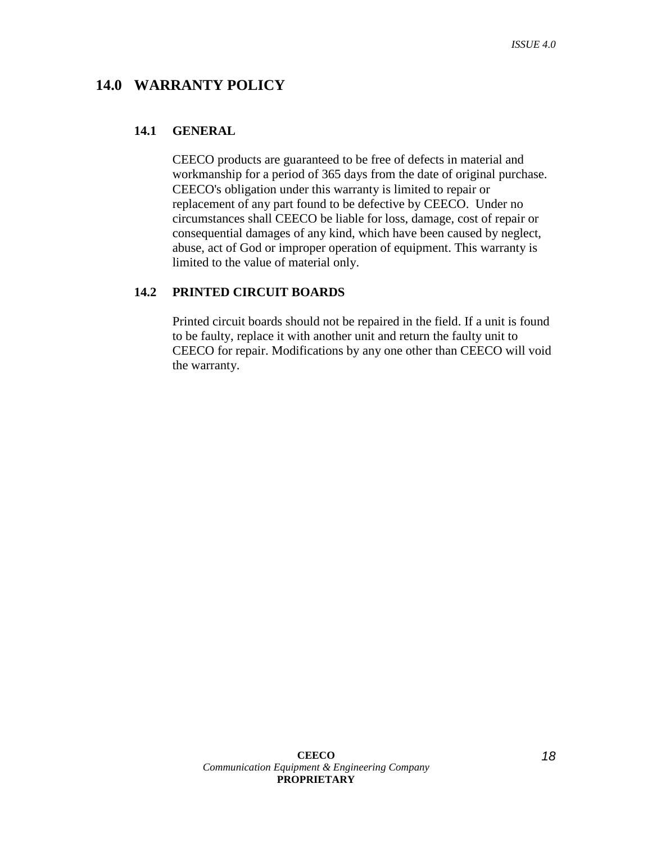## **14.0 WARRANTY POLICY**

#### **14.1 GENERAL**

CEECO products are guaranteed to be free of defects in material and workmanship for a period of 365 days from the date of original purchase. CEECO's obligation under this warranty is limited to repair or replacement of any part found to be defective by CEECO. Under no circumstances shall CEECO be liable for loss, damage, cost of repair or consequential damages of any kind, which have been caused by neglect, abuse, act of God or improper operation of equipment. This warranty is limited to the value of material only.

### **14.2 PRINTED CIRCUIT BOARDS**

Printed circuit boards should not be repaired in the field. If a unit is found to be faulty, replace it with another unit and return the faulty unit to CEECO for repair. Modifications by any one other than CEECO will void the warranty.